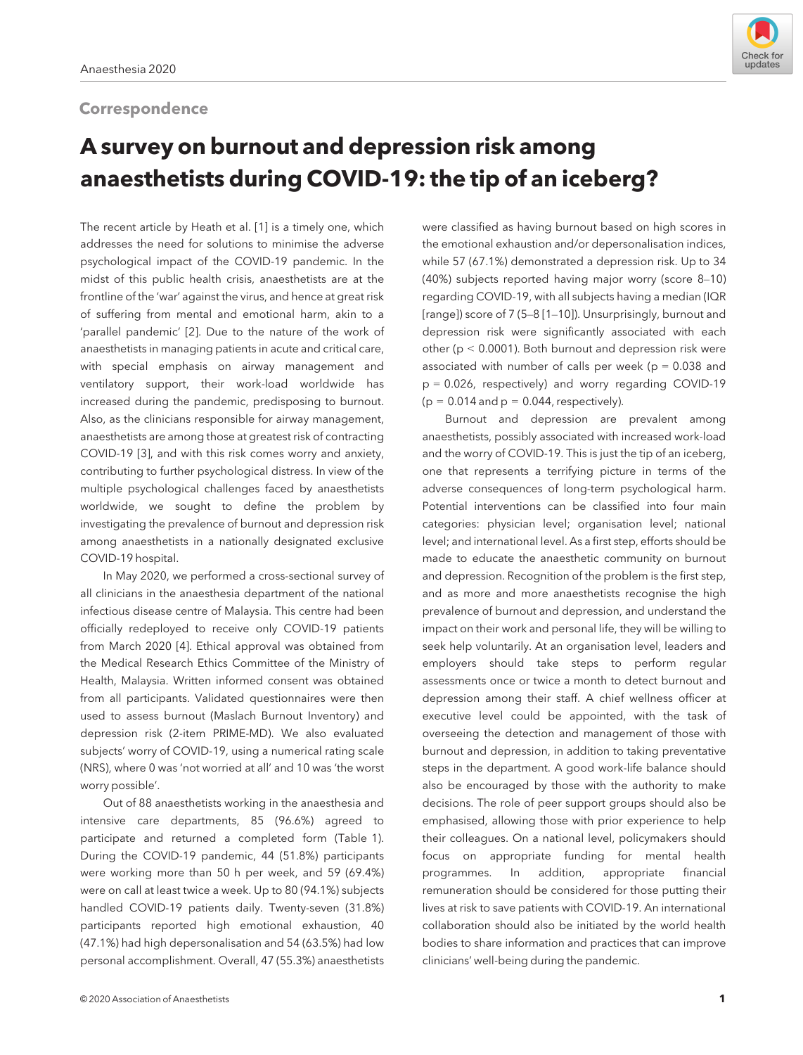# **Correspondence**



# A survey on burnout and depression risk among anaesthetists during COVID-19: the tip of an iceberg?

The recent article by Heath et al. [1] is a timely one, which addresses the need for solutions to minimise the adverse psychological impact of the COVID-19 pandemic. In the midst of this public health crisis, anaesthetists are at the frontline of the 'war' against the virus, and hence at great risk of suffering from mental and emotional harm, akin to a 'parallel pandemic' [2]. Due to the nature of the work of anaesthetists in managing patients in acute and critical care, with special emphasis on airway management and ventilatory support, their work-load worldwide has increased during the pandemic, predisposing to burnout. Also, as the clinicians responsible for airway management, anaesthetists are among those at greatest risk of contracting COVID-19 [3], and with this risk comes worry and anxiety, contributing to further psychological distress. In view of the multiple psychological challenges faced by anaesthetists worldwide, we sought to define the problem by investigating the prevalence of burnout and depression risk among anaesthetists in a nationally designated exclusive COVID-19 hospital.

In May 2020, we performed a cross-sectional survey of all clinicians in the anaesthesia department of the national infectious disease centre of Malaysia. This centre had been officially redeployed to receive only COVID-19 patients from March 2020 [4]. Ethical approval was obtained from the Medical Research Ethics Committee of the Ministry of Health, Malaysia. Written informed consent was obtained from all participants. Validated questionnaires were then used to assess burnout (Maslach Burnout Inventory) and depression risk (2-item PRIME-MD). We also evaluated subjects' worry of COVID-19, using a numerical rating scale (NRS), where 0 was 'not worried at all' and 10 was 'the worst worry possible'.

Out of 88 anaesthetists working in the anaesthesia and intensive care departments, 85 (96.6%) agreed to participate and returned a completed form (Table 1). During the COVID-19 pandemic, 44 (51.8%) participants were working more than 50 h per week, and 59 (69.4%) were on call at least twice a week. Up to 80 (94.1%) subjects handled COVID-19 patients daily. Twenty-seven (31.8%) participants reported high emotional exhaustion, 40 (47.1%) had high depersonalisation and 54 (63.5%) had low personal accomplishment. Overall, 47 (55.3%) anaesthetists

were classified as having burnout based on high scores in the emotional exhaustion and/or depersonalisation indices, while 57 (67.1%) demonstrated a depression risk. Up to 34 (40%) subjects reported having major worry (score 8–10) regarding COVID-19, with all subjects having a median (IQR [range]) score of 7 (5–8 [1–10]). Unsurprisingly, burnout and depression risk were significantly associated with each other (p < 0.0001). Both burnout and depression risk were associated with number of calls per week ( $p = 0.038$  and p = 0.026, respectively) and worry regarding COVID-19  $(p = 0.014$  and  $p = 0.044$ , respectively).

Burnout and depression are prevalent among anaesthetists, possibly associated with increased work-load and the worry of COVID-19. This is just the tip of an iceberg, one that represents a terrifying picture in terms of the adverse consequences of long-term psychological harm. Potential interventions can be classified into four main categories: physician level; organisation level; national level; and international level. As a first step, efforts should be made to educate the anaesthetic community on burnout and depression. Recognition of the problem is the first step, and as more and more anaesthetists recognise the high prevalence of burnout and depression, and understand the impact on their work and personal life, they will be willing to seek help voluntarily. At an organisation level, leaders and employers should take steps to perform regular assessments once or twice a month to detect burnout and depression among their staff. A chief wellness officer at executive level could be appointed, with the task of overseeing the detection and management of those with burnout and depression, in addition to taking preventative steps in the department. A good work-life balance should also be encouraged by those with the authority to make decisions. The role of peer support groups should also be emphasised, allowing those with prior experience to help their colleagues. On a national level, policymakers should focus on appropriate funding for mental health programmes. In addition, appropriate financial remuneration should be considered for those putting their lives at risk to save patients with COVID-19. An international collaboration should also be initiated by the world health bodies to share information and practices that can improve clinicians' well-being during the pandemic.